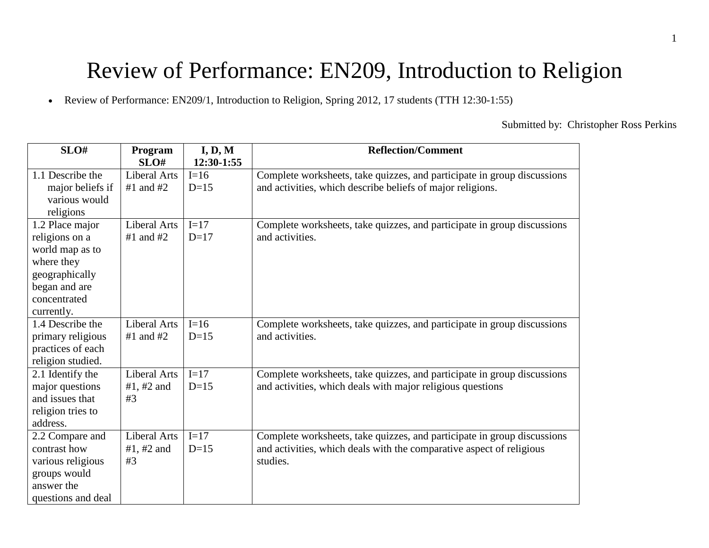# Review of Performance: EN209, Introduction to Religion

Review of Performance: EN209/1, Introduction to Religion, Spring 2012, 17 students (TTH 12:30-1:55)

### Submitted by: Christopher Ross Perkins

| SLO#               | Program       | I, D, M    | <b>Reflection/Comment</b>                                               |
|--------------------|---------------|------------|-------------------------------------------------------------------------|
|                    | SLO#          | 12:30-1:55 |                                                                         |
| 1.1 Describe the   | Liberal Arts  | $I=16$     | Complete worksheets, take quizzes, and participate in group discussions |
| major beliefs if   | $#1$ and $#2$ | $D=15$     | and activities, which describe beliefs of major religions.              |
| various would      |               |            |                                                                         |
| religions          |               |            |                                                                         |
| 1.2 Place major    | Liberal Arts  | $I=17$     | Complete worksheets, take quizzes, and participate in group discussions |
| religions on a     | $#1$ and $#2$ | $D=17$     | and activities.                                                         |
| world map as to    |               |            |                                                                         |
| where they         |               |            |                                                                         |
| geographically     |               |            |                                                                         |
| began and are      |               |            |                                                                         |
| concentrated       |               |            |                                                                         |
| currently.         |               |            |                                                                         |
| 1.4 Describe the   | Liberal Arts  | $I=16$     | Complete worksheets, take quizzes, and participate in group discussions |
| primary religious  | $#1$ and $#2$ | $D=15$     | and activities.                                                         |
| practices of each  |               |            |                                                                         |
| religion studied.  |               |            |                                                                         |
| 2.1 Identify the   | Liberal Arts  | $I=17$     | Complete worksheets, take quizzes, and participate in group discussions |
| major questions    | #1, #2 and    | $D=15$     | and activities, which deals with major religious questions              |
| and issues that    | #3            |            |                                                                         |
| religion tries to  |               |            |                                                                         |
| address.           |               |            |                                                                         |
| 2.2 Compare and    | Liberal Arts  | $I=17$     | Complete worksheets, take quizzes, and participate in group discussions |
| contrast how       | #1, #2 and    | $D=15$     | and activities, which deals with the comparative aspect of religious    |
| various religious  | #3            |            | studies.                                                                |
| groups would       |               |            |                                                                         |
| answer the         |               |            |                                                                         |
| questions and deal |               |            |                                                                         |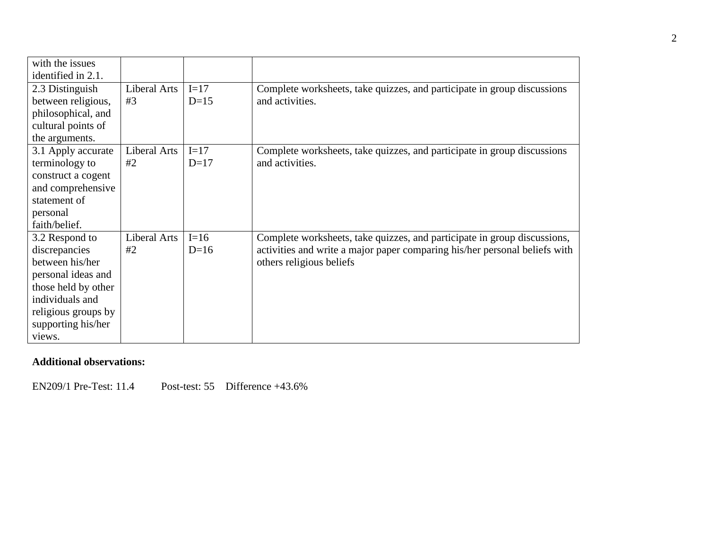| with the issues     |              |        |                                                                            |
|---------------------|--------------|--------|----------------------------------------------------------------------------|
| identified in 2.1.  |              |        |                                                                            |
| 2.3 Distinguish     | Liberal Arts | $I=17$ | Complete worksheets, take quizzes, and participate in group discussions    |
| between religious,  | #3           | $D=15$ | and activities.                                                            |
| philosophical, and  |              |        |                                                                            |
| cultural points of  |              |        |                                                                            |
| the arguments.      |              |        |                                                                            |
| 3.1 Apply accurate  | Liberal Arts | $I=17$ | Complete worksheets, take quizzes, and participate in group discussions    |
| terminology to      | #2           | $D=17$ | and activities.                                                            |
| construct a cogent  |              |        |                                                                            |
| and comprehensive   |              |        |                                                                            |
| statement of        |              |        |                                                                            |
| personal            |              |        |                                                                            |
| faith/belief.       |              |        |                                                                            |
| 3.2 Respond to      | Liberal Arts | $I=16$ | Complete worksheets, take quizzes, and participate in group discussions,   |
| discrepancies       | #2           | $D=16$ | activities and write a major paper comparing his/her personal beliefs with |
| between his/her     |              |        | others religious beliefs                                                   |
| personal ideas and  |              |        |                                                                            |
| those held by other |              |        |                                                                            |
| individuals and     |              |        |                                                                            |
| religious groups by |              |        |                                                                            |
| supporting his/her  |              |        |                                                                            |
| views.              |              |        |                                                                            |

## **Additional observations:**

EN209/1 Pre-Test: 11.4 Post-test: 55 Difference +43.6%